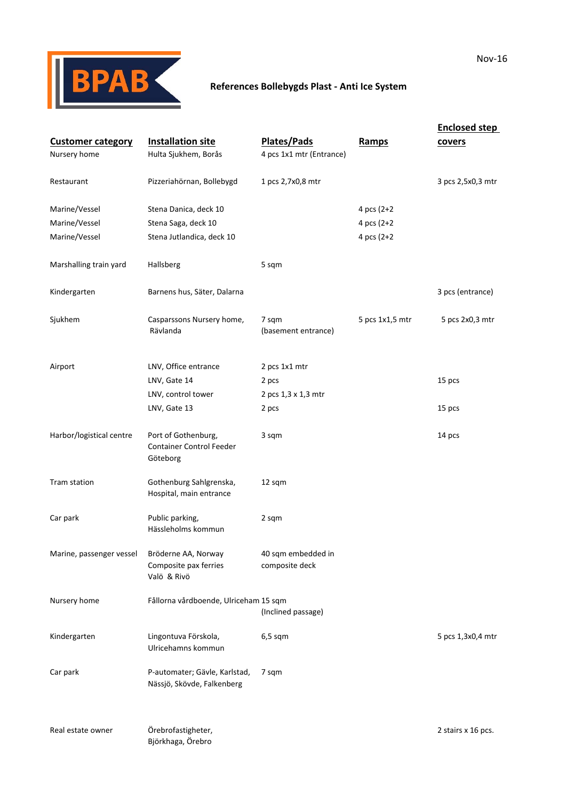

## **References Bollebygds Plast ‐ Anti Ice System**

|                          |                                                             |                          |                 | <b>Enclosed step</b> |
|--------------------------|-------------------------------------------------------------|--------------------------|-----------------|----------------------|
| <b>Customer category</b> | <b>Installation site</b>                                    | <b>Plates/Pads</b>       | <b>Ramps</b>    | covers               |
| Nursery home             | Hulta Sjukhem, Borås                                        | 4 pcs 1x1 mtr (Entrance) |                 |                      |
|                          |                                                             |                          |                 |                      |
| Restaurant               | Pizzeriahörnan, Bollebygd                                   | 1 pcs 2,7x0,8 mtr        |                 | 3 pcs 2,5x0,3 mtr    |
|                          |                                                             |                          |                 |                      |
| Marine/Vessel            | Stena Danica, deck 10                                       |                          | 4 pcs (2+2)     |                      |
| Marine/Vessel            | Stena Saga, deck 10                                         |                          | 4 pcs $(2+2)$   |                      |
| Marine/Vessel            | Stena Jutlandica, deck 10                                   |                          | 4 pcs $(2+2)$   |                      |
|                          |                                                             |                          |                 |                      |
| Marshalling train yard   | Hallsberg                                                   | 5 sqm                    |                 |                      |
| Kindergarten             | Barnens hus, Säter, Dalarna                                 |                          |                 | 3 pcs (entrance)     |
|                          |                                                             |                          |                 |                      |
| Sjukhem                  | Casparssons Nursery home,                                   | 7 sqm                    | 5 pcs 1x1,5 mtr | 5 pcs 2x0,3 mtr      |
|                          | Rävlanda                                                    | (basement entrance)      |                 |                      |
|                          |                                                             |                          |                 |                      |
| Airport                  | LNV, Office entrance                                        | 2 pcs 1x1 mtr            |                 |                      |
|                          | LNV, Gate 14                                                | 2 pcs                    |                 | 15 pcs               |
|                          | LNV, control tower                                          | 2 pcs 1,3 x 1,3 mtr      |                 |                      |
|                          | LNV, Gate 13                                                | 2 pcs                    |                 | 15 pcs               |
|                          |                                                             |                          |                 |                      |
| Harbor/logistical centre | Port of Gothenburg,                                         | 3 sqm                    |                 | 14 pcs               |
|                          | <b>Container Control Feeder</b>                             |                          |                 |                      |
|                          | Göteborg                                                    |                          |                 |                      |
| Tram station             | Gothenburg Sahlgrenska,                                     | 12 sqm                   |                 |                      |
|                          | Hospital, main entrance                                     |                          |                 |                      |
|                          |                                                             |                          |                 |                      |
| Car park                 | Public parking,                                             | 2 sqm                    |                 |                      |
|                          | Hässleholms kommun                                          |                          |                 |                      |
| Marine, passenger vessel | Bröderne AA, Norway                                         | 40 sqm embedded in       |                 |                      |
|                          | Composite pax ferries                                       | composite deck           |                 |                      |
|                          | Valö & Rivö                                                 |                          |                 |                      |
|                          |                                                             |                          |                 |                      |
| Nursery home             | Fållorna vårdboende, Ulriceham 15 sqm                       | (Inclined passage)       |                 |                      |
|                          |                                                             |                          |                 |                      |
| Kindergarten             | Lingontuva Förskola,                                        | $6,5$ sqm                |                 | 5 pcs 1,3x0,4 mtr    |
|                          | Ulricehamns kommun                                          |                          |                 |                      |
|                          |                                                             |                          |                 |                      |
| Car park                 | P-automater; Gävle, Karlstad,<br>Nässjö, Skövde, Falkenberg | 7 sqm                    |                 |                      |
|                          |                                                             |                          |                 |                      |
|                          |                                                             |                          |                 |                      |
| Real estate owner        | Örebrofastigheter,                                          |                          |                 | 2 stairs x 16 pcs.   |
|                          | Björkhaga, Örebro                                           |                          |                 |                      |
|                          |                                                             |                          |                 |                      |